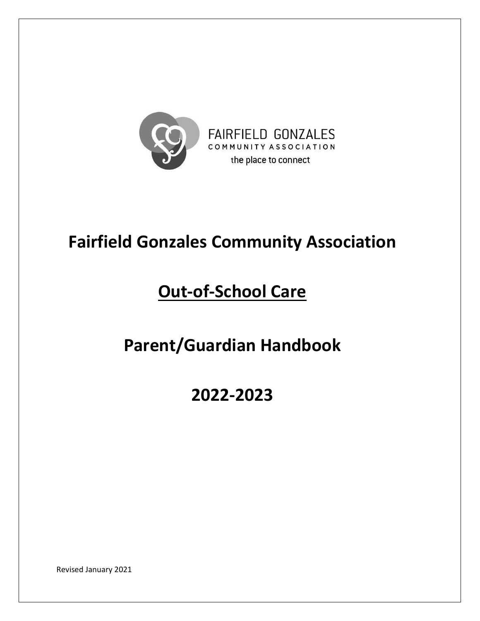

# **Fairfield Gonzales Community Association**

# **Out-of-School Care**

# **Parent/Guardian Handbook**

# **2022-2023**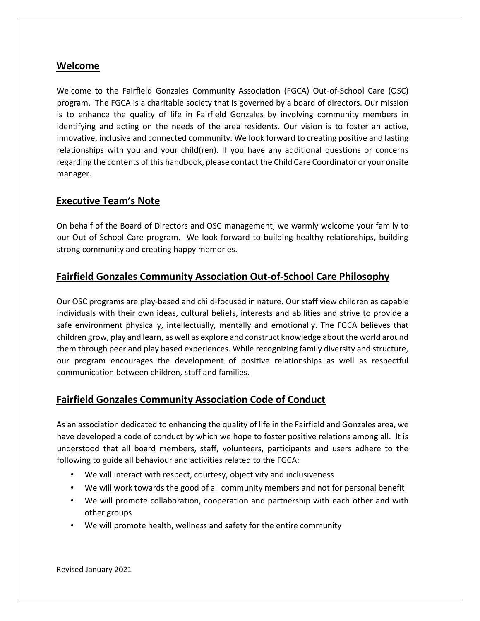# **Welcome**

Welcome to the Fairfield Gonzales Community Association (FGCA) Out-of-School Care (OSC) program. The FGCA is a charitable society that is governed by a board of directors. Our mission is to enhance the quality of life in Fairfield Gonzales by involving community members in identifying and acting on the needs of the area residents. Our vision is to foster an active, innovative, inclusive and connected community. We look forward to creating positive and lasting relationships with you and your child(ren). If you have any additional questions or concerns regarding the contents of this handbook, please contact the Child Care Coordinator or your onsite manager.

## **Executive Team's Note**

On behalf of the Board of Directors and OSC management, we warmly welcome your family to our Out of School Care program. We look forward to building healthy relationships, building strong community and creating happy memories.

# **Fairfield Gonzales Community Association Out-of-School Care Philosophy**

Our OSC programs are play-based and child-focused in nature. Our staff view children as capable individuals with their own ideas, cultural beliefs, interests and abilities and strive to provide a safe environment physically, intellectually, mentally and emotionally. The FGCA believes that children grow, play and learn, as well as explore and construct knowledge about the world around them through peer and play based experiences. While recognizing family diversity and structure, our program encourages the development of positive relationships as well as respectful communication between children, staff and families.

# **Fairfield Gonzales Community Association Code of Conduct**

As an association dedicated to enhancing the quality of life in the Fairfield and Gonzales area, we have developed a code of conduct by which we hope to foster positive relations among all. It is understood that all board members, staff, volunteers, participants and users adhere to the following to guide all behaviour and activities related to the FGCA:

- We will interact with respect, courtesy, objectivity and inclusiveness
- We will work towards the good of all community members and not for personal benefit
- We will promote collaboration, cooperation and partnership with each other and with other groups
- We will promote health, wellness and safety for the entire community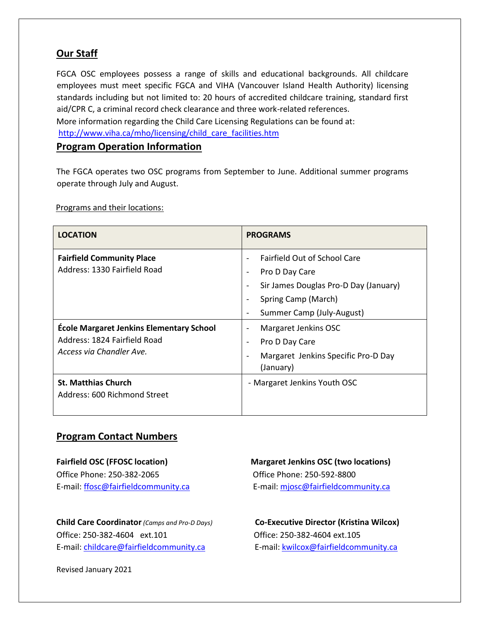# **Our Staff**

FGCA OSC employees possess a range of skills and educational backgrounds. All childcare employees must meet specific FGCA and VIHA (Vancouver Island Health Authority) licensing standards including but not limited to: 20 hours of accredited childcare training, standard first aid/CPR C, a criminal record check clearance and three work-related references. More information regarding the Child Care Licensing Regulations can be found at: http://www.viha.ca/mho/licensing/child\_care\_facilities.htm

## **Program Operation Information**

The FGCA operates two OSC programs from September to June. Additional summer programs operate through July and August.

Programs and their locations:

| <b>LOCATION</b>                                                                                      | <b>PROGRAMS</b>                                                                                |  |  |
|------------------------------------------------------------------------------------------------------|------------------------------------------------------------------------------------------------|--|--|
| <b>Fairfield Community Place</b><br>Address: 1330 Fairfield Road                                     | <b>Fairfield Out of School Care</b><br>Pro D Day Care<br>Sir James Douglas Pro-D Day (January) |  |  |
|                                                                                                      | Spring Camp (March)<br>Summer Camp (July-August)                                               |  |  |
| École Margaret Jenkins Elementary School<br>Address: 1824 Fairfield Road<br>Access via Chandler Ave. | Margaret Jenkins OSC<br>Pro D Day Care<br>Margaret Jenkins Specific Pro-D Day<br>(January)     |  |  |
| <b>St. Matthias Church</b><br>Address: 600 Richmond Street                                           | - Margaret Jenkins Youth OSC                                                                   |  |  |

# **Program Contact Numbers**

Office Phone: 250-382-2065 Office Phone: 250-592-8800

**Child Care Coordinator***(Camps and Pro-D Days)* **Co-Executive Director (Kristina Wilcox)** Office: 250-382-4604 ext.101 Office: 250-382-4604 ext.105 E-mail: childcare@fairfieldcommunity.ca E-mail: kwilcox@fairfieldcommunity.ca

**Fairfield OSC (FFOSC location) Margaret Jenkins OSC (two locations)**  E-mail: ffosc@fairfieldcommunity.ca E-mail: mjosc@fairfieldcommunity.ca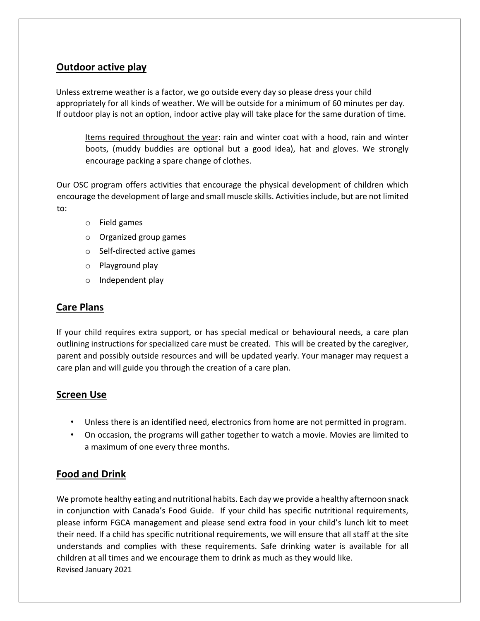# **Outdoor active play**

Unless extreme weather is a factor, we go outside every day so please dress your child appropriately for all kinds of weather. We will be outside for a minimum of 60 minutes per day. If outdoor play is not an option, indoor active play will take place for the same duration of time.

Items required throughout the year: rain and winter coat with a hood, rain and winter boots, (muddy buddies are optional but a good idea), hat and gloves. We strongly encourage packing a spare change of clothes.

Our OSC program offers activities that encourage the physical development of children which encourage the development of large and small muscle skills. Activities include, but are not limited to:

- o Field games
- o Organized group games
- o Self-directed active games
- o Playground play
- o Independent play

# **Care Plans**

If your child requires extra support, or has special medical or behavioural needs, a care plan outlining instructions for specialized care must be created. This will be created by the caregiver, parent and possibly outside resources and will be updated yearly. Your manager may request a care plan and will guide you through the creation of a care plan.

# **Screen Use**

- Unless there is an identified need, electronics from home are not permitted in program.
- On occasion, the programs will gather together to watch a movie. Movies are limited to a maximum of one every three months.

# **Food and Drink**

Revised January 2021 We promote healthy eating and nutritional habits. Each day we provide a healthy afternoon snack in conjunction with Canada's Food Guide. If your child has specific nutritional requirements, please inform FGCA management and please send extra food in your child's lunch kit to meet their need. If a child has specific nutritional requirements, we will ensure that all staff at the site understands and complies with these requirements. Safe drinking water is available for all children at all times and we encourage them to drink as much as they would like.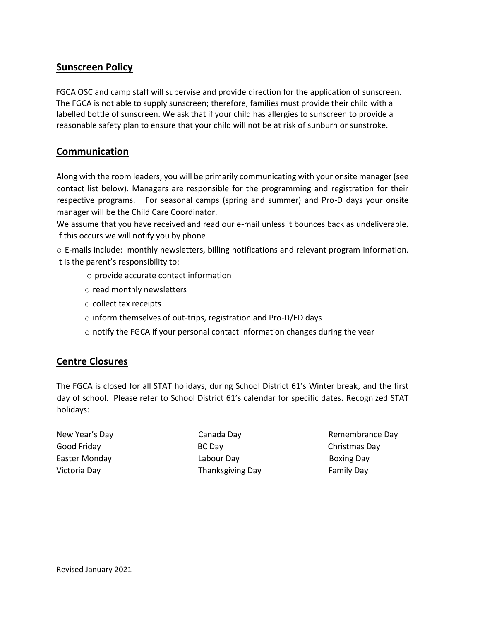# **Sunscreen Policy**

FGCA OSC and camp staff will supervise and provide direction for the application of sunscreen. The FGCA is not able to supply sunscreen; therefore, families must provide their child with a labelled bottle of sunscreen. We ask that if your child has allergies to sunscreen to provide a reasonable safety plan to ensure that your child will not be at risk of sunburn or sunstroke.

# **Communication**

Along with the room leaders, you will be primarily communicating with your onsite manager (see contact list below). Managers are responsible for the programming and registration for their respective programs. For seasonal camps (spring and summer) and Pro-D days your onsite manager will be the Child Care Coordinator.

We assume that you have received and read our e-mail unless it bounces back as undeliverable. If this occurs we will notify you by phone

o E-mails include: monthly newsletters, billing notifications and relevant program information. It is the parent's responsibility to:

- o provide accurate contact information
- o read monthly newsletters
- o collect tax receipts
- o inform themselves of out-trips, registration and Pro-D/ED days
- $\circ$  notify the FGCA if your personal contact information changes during the year

# **Centre Closures**

The FGCA is closed for all STAT holidays, during School District 61's Winter break, and the first day of school. Please refer to School District 61's calendar for specific dates**.** Recognized STAT holidays:

Good Friday **BC Day** BC Day **Christmas Day** Easter Monday **Easter Monday Labour Day Boxing Day** Victoria Day **Thanksgiving Day** Family Day

New Year's Day **Canada Day** Canada Day **Remembrance Day**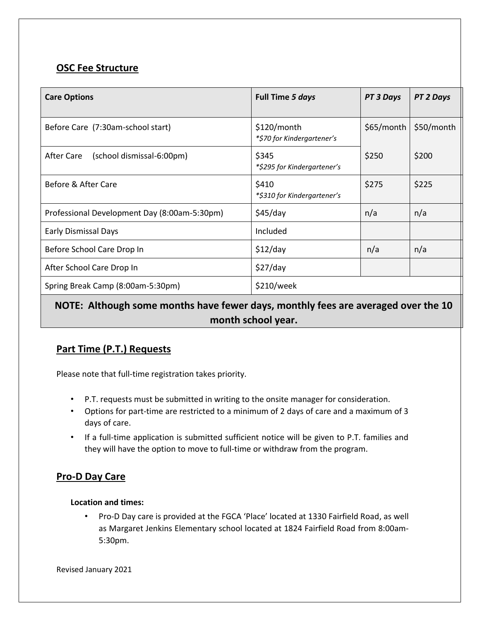# **OSC Fee Structure**

| <b>Care Options</b>                          | Full Time 5 days                          | PT 3 Days  | PT 2 Days  |
|----------------------------------------------|-------------------------------------------|------------|------------|
| Before Care (7:30am-school start)            | \$120/month<br>*\$70 for Kindergartener's | \$65/month | \$50/month |
| After Care<br>(school dismissal-6:00pm)      | \$345<br>*\$295 for Kindergartener's      | \$250      | \$200      |
| Before & After Care                          | \$410<br>*\$310 for Kindergartener's      | \$275      | \$225      |
| Professional Development Day (8:00am-5:30pm) | \$45/day                                  | n/a        | n/a        |
| <b>Early Dismissal Days</b>                  | Included                                  |            |            |
| Before School Care Drop In                   | \$12/day                                  | n/a        | n/a        |
| After School Care Drop In                    | \$27/day                                  |            |            |
| Spring Break Camp (8:00am-5:30pm)            | \$210/week                                |            |            |

# **NOTE: Although some months have fewer days, monthly fees are averaged over the 10 month school year.**

# **Part Time (P.T.) Requests**

Please note that full-time registration takes priority.

- P.T. requests must be submitted in writing to the onsite manager for consideration.
- Options for part-time are restricted to a minimum of 2 days of care and a maximum of 3 days of care.
- If a full-time application is submitted sufficient notice will be given to P.T. families and they will have the option to move to full-time or withdraw from the program.

# **Pro-D Day Care**

## **Location and times:**

• Pro-D Day care is provided at the FGCA 'Place' located at 1330 Fairfield Road, as well as Margaret Jenkins Elementary school located at 1824 Fairfield Road from 8:00am-5:30pm.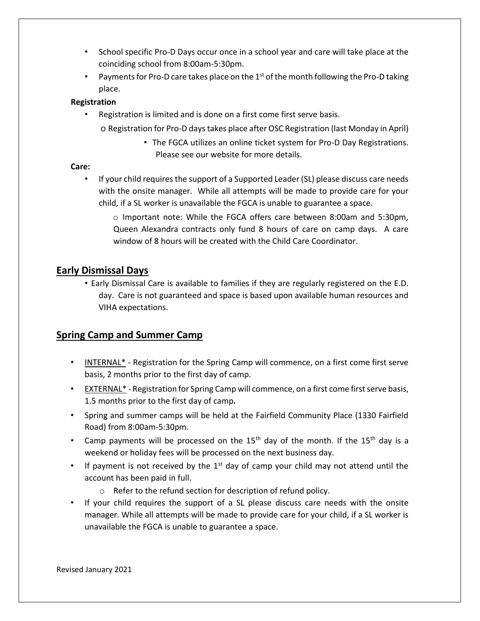- School specific Pro-D Days occur once in a school year and care will take place at the coinciding school from 8:00am-5:30pm.
- Payments for Pro-D care takes place on the  $1<sup>st</sup>$  of the month following the Pro-D taking place.

## **Registration**

• Registration is limited and is done on a first come first serve basis.

o Registration for Pro-D days takes place after OSC Registration (last Monday in April)

▪ The FGCA utilizes an online ticket system for Pro-D Day Registrations. Please see our website for more details.

### **Care:**

- If your child requires the support of a Supported Leader (SL) please discuss care needs with the onsite manager. While all attempts will be made to provide care for your child, if a SL worker is unavailable the FGCA is unable to guarantee a space.
	- o Important note: While the FGCA offers care between 8:00am and 5:30pm, Queen Alexandra contracts only fund 8 hours of care on camp days. A care window of 8 hours will be created with the Child Care Coordinator.

## **Early Dismissal Days**

• Early Dismissal Care is available to families if they are regularly registered on the E.D. day. Care is not guaranteed and space is based upon available human resources and VIHA expectations.

# **Spring Camp and Summer Camp**

- INTERNAL\* Registration for the Spring Camp will commence, on a first come first serve basis, 2 months prior to the first day of camp.
- EXTERNAL\* Registration for Spring Camp will commence, on a first come first serve basis, 1.5 months prior to the first day of camp**.**
- Spring and summer camps will be held at the Fairfield Community Place (1330 Fairfield Road) from 8:00am-5:30pm.
- Camp payments will be processed on the  $15<sup>th</sup>$  day of the month. If the  $15<sup>th</sup>$  day is a weekend or holiday fees will be processed on the next business day.
- If payment is not received by the  $1<sup>st</sup>$  day of camp your child may not attend until the account has been paid in full.
	- o Refer to the refund section for description of refund policy.
- If your child requires the support of a SL please discuss care needs with the onsite manager. While all attempts will be made to provide care for your child, if a SL worker is unavailable the FGCA is unable to guarantee a space.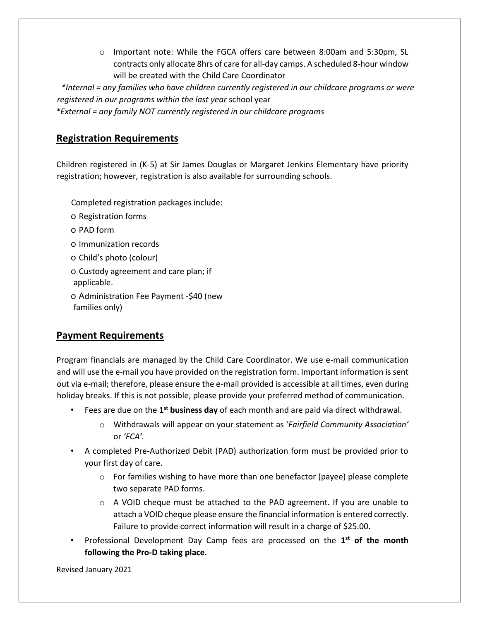o Important note: While the FGCA offers care between 8:00am and 5:30pm, SL contracts only allocate 8hrs of care for all-day camps. A scheduled 8-hour window will be created with the Child Care Coordinator

*\*Internal = any families who have children currently registered in our childcare programs or were registered in our programs within the last year* school year

*\*External = any family NOT currently registered in our childcare programs* 

## **Registration Requirements**

Children registered in (K-5) at Sir James Douglas or Margaret Jenkins Elementary have priority registration; however, registration is also available for surrounding schools.

Completed registration packages include:

- o Registration forms
- o PAD form
- o Immunization records
- o Child's photo (colour)
- o Custody agreement and care plan; if applicable.
- o Administration Fee Payment -\$40 (new families only)

# **Payment Requirements**

Program financials are managed by the Child Care Coordinator. We use e-mail communication and will use the e-mail you have provided on the registration form. Important information is sent out via e-mail; therefore, please ensure the e-mail provided is accessible at all times, even during holiday breaks. If this is not possible, please provide your preferred method of communication.

- Fees are due on the 1<sup>st</sup> business day of each month and are paid via direct withdrawal.
	- o Withdrawals will appear on your statement as '*Fairfield Community Association'*  or *'FCA'.*
- A completed Pre-Authorized Debit (PAD) authorization form must be provided prior to your first day of care.
	- o For families wishing to have more than one benefactor (payee) please complete two separate PAD forms.
	- o A VOID cheque must be attached to the PAD agreement. If you are unable to attach a VOID cheque please ensure the financial information is entered correctly. Failure to provide correct information will result in a charge of \$25.00.
- Professional Development Day Camp fees are processed on the **1 st of the month following the Pro-D taking place.**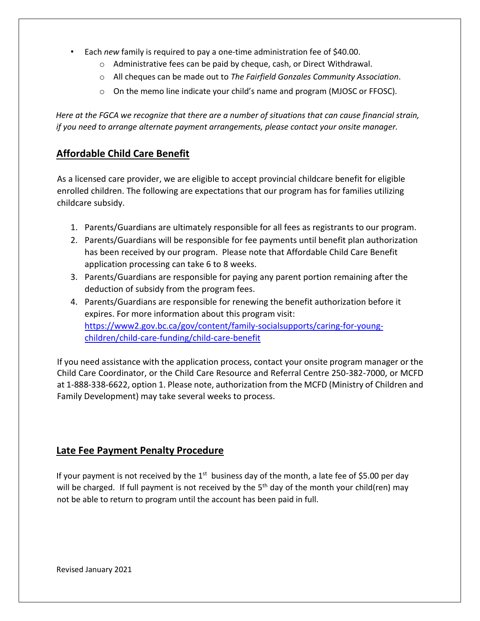- Each *new* family is required to pay a one-time administration fee of \$40.00.
	- o Administrative fees can be paid by cheque, cash, or Direct Withdrawal.
	- o All cheques can be made out to *The Fairfield Gonzales Community Association*.
	- $\circ$  On the memo line indicate your child's name and program (MJOSC or FFOSC).

*Here at the FGCA we recognize that there are a number of situations that can cause financial strain, if you need to arrange alternate payment arrangements, please contact your onsite manager.* 

# **Affordable Child Care Benefit**

As a licensed care provider, we are eligible to accept provincial childcare benefit for eligible enrolled children. The following are expectations that our program has for families utilizing childcare subsidy.

- 1. Parents/Guardians are ultimately responsible for all fees as registrants to our program.
- 2. Parents/Guardians will be responsible for fee payments until benefit plan authorization has been received by our program. Please note that Affordable Child Care Benefit application processing can take 6 to 8 weeks.
- 3. Parents/Guardians are responsible for paying any parent portion remaining after the deduction of subsidy from the program fees.
- 4. Parents/Guardians are responsible for renewing the benefit authorization before it expires. For more information about this program visit: [https://www2.gov.bc.ca/gov/content/family-socialsupports/caring-for-young](https://www2.gov.bc.ca/gov/content/family-social-supports/caring-for-young-children/child-care-funding/child-care-benefit)[children/child-care-funding/child-care-benefit](https://www2.gov.bc.ca/gov/content/family-social-supports/caring-for-young-children/child-care-funding/child-care-benefit)

If you need assistance with the application process, contact your onsite program manager or the Child Care Coordinator, or the Child Care Resource and Referral Centre 250-382-7000, or MCFD at 1-888-338-6622, option 1. Please note, authorization from the MCFD (Ministry of Children and Family Development) may take several weeks to process.

# **Late Fee Payment Penalty Procedure**

If your payment is not received by the  $1<sup>st</sup>$  business day of the month, a late fee of \$5.00 per day will be charged. If full payment is not received by the  $5<sup>th</sup>$  day of the month your child(ren) may not be able to return to program until the account has been paid in full.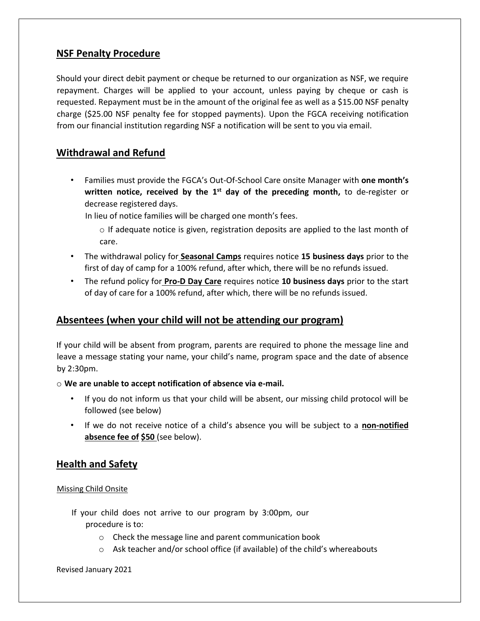# **NSF Penalty Procedure**

Should your direct debit payment or cheque be returned to our organization as NSF, we require repayment. Charges will be applied to your account, unless paying by cheque or cash is requested. Repayment must be in the amount of the original fee as well as a \$15.00 NSF penalty charge (\$25.00 NSF penalty fee for stopped payments). Upon the FGCA receiving notification from our financial institution regarding NSF a notification will be sent to you via email.

# **Withdrawal and Refund**

• Families must provide the FGCA's Out-Of-School Care onsite Manager with **one month's**  written notice, received by the 1<sup>st</sup> day of the preceding month, to de-register or decrease registered days.

In lieu of notice families will be charged one month's fees.

- $\circ$  If adequate notice is given, registration deposits are applied to the last month of care.
- The withdrawal policy for **Seasonal Camps** requires notice **15 business days** prior to the first of day of camp for a 100% refund, after which, there will be no refunds issued.
- The refund policy for **Pro-D Day Care** requires notice **10 business days** prior to the start of day of care for a 100% refund, after which, there will be no refunds issued.

# **Absentees (when your child will not be attending our program)**

If your child will be absent from program, parents are required to phone the message line and leave a message stating your name, your child's name, program space and the date of absence by 2:30pm.

## o **We are unable to accept notification of absence via e-mail.**

- If you do not inform us that your child will be absent, our missing child protocol will be followed (see below)
- If we do not receive notice of a child's absence you will be subject to a **non-notified absence fee of \$50** (see below).

# **Health and Safety**

## Missing Child Onsite

- If your child does not arrive to our program by 3:00pm, our procedure is to:
	- o Check the message line and parent communication book
	- o Ask teacher and/or school office (if available) of the child's whereabouts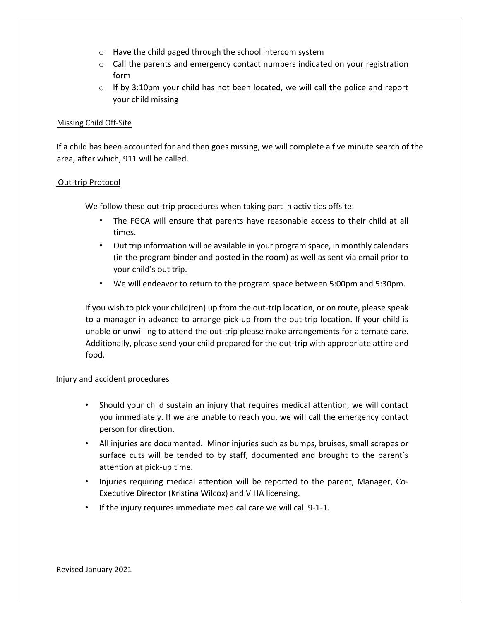- o Have the child paged through the school intercom system
- $\circ$  Call the parents and emergency contact numbers indicated on your registration form
- $\circ$  If by 3:10pm your child has not been located, we will call the police and report your child missing

#### Missing Child Off-Site

If a child has been accounted for and then goes missing, we will complete a five minute search of the area, after which, 911 will be called.

#### Out-trip Protocol

We follow these out-trip procedures when taking part in activities offsite:

- The FGCA will ensure that parents have reasonable access to their child at all times.
- Out trip information will be available in your program space, in monthly calendars (in the program binder and posted in the room) as well as sent via email prior to your child's out trip.
- We will endeavor to return to the program space between 5:00pm and 5:30pm.

If you wish to pick your child(ren) up from the out-trip location, or on route, please speak to a manager in advance to arrange pick-up from the out-trip location. If your child is unable or unwilling to attend the out-trip please make arrangements for alternate care. Additionally, please send your child prepared for the out-trip with appropriate attire and food.

#### Injury and accident procedures

- Should your child sustain an injury that requires medical attention, we will contact you immediately. If we are unable to reach you, we will call the emergency contact person for direction.
- All injuries are documented. Minor injuries such as bumps, bruises, small scrapes or surface cuts will be tended to by staff, documented and brought to the parent's attention at pick-up time.
- Injuries requiring medical attention will be reported to the parent, Manager, Co-Executive Director (Kristina Wilcox) and VIHA licensing.
- If the injury requires immediate medical care we will call 9-1-1.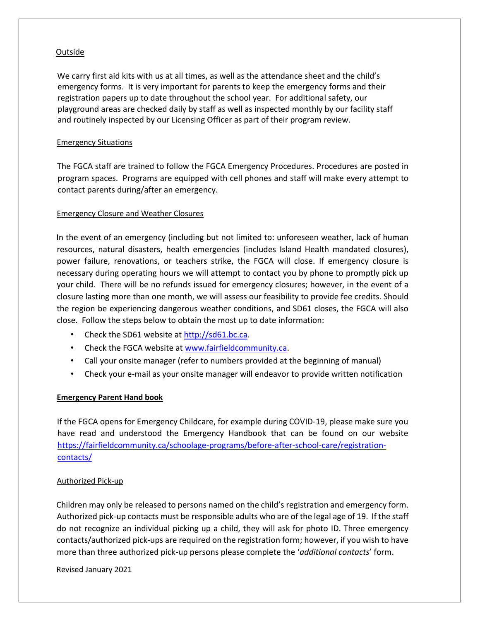### Outside

We carry first aid kits with us at all times, as well as the attendance sheet and the child's emergency forms. It is very important for parents to keep the emergency forms and their registration papers up to date throughout the school year. For additional safety, our playground areas are checked daily by staff as well as inspected monthly by our facility staff and routinely inspected by our Licensing Officer as part of their program review.

#### Emergency Situations

The FGCA staff are trained to follow the FGCA Emergency Procedures. Procedures are posted in program spaces. Programs are equipped with cell phones and staff will make every attempt to contact parents during/after an emergency.

### Emergency Closure and Weather Closures

In the event of an emergency (including but not limited to: unforeseen weather, lack of human resources, natural disasters, health emergencies (includes Island Health mandated closures), power failure, renovations, or teachers strike, the FGCA will close. If emergency closure is necessary during operating hours we will attempt to contact you by phone to promptly pick up your child. There will be no refunds issued for emergency closures; however, in the event of a closure lasting more than one month, we will assess our feasibility to provide fee credits. Should the region be experiencing dangerous weather conditions, and SD61 closes, the FGCA will also close. Follow the steps below to obtain the most up to date information:

- Check the SD61 website a[t http://sd61.bc.ca.](http://sd61.bc.ca/)
- Check the FGCA website at [www.fairfieldcommunity.ca.](http://www.fairfieldcommunity.ca/)
- Call your onsite manager (refer to numbers provided at the beginning of manual)
- Check your e-mail as your onsite manager will endeavor to provide written notification

#### **Emergency Parent Hand book**

If the FGCA opens for Emergency Childcare, for example during COVID-19, please make sure you have read and understood the Emergency Handbook that can be found on our website [https://fairfieldcommunity.ca/schoolage-programs/before-after-school-care/registration](https://fairfieldcommunity.ca/schoolage-programs/before-after-school-care/registration-contacts/)[contacts/](https://fairfieldcommunity.ca/schoolage-programs/before-after-school-care/registration-contacts/)

#### Authorized Pick-up

Children may only be released to persons named on the child's registration and emergency form. Authorized pick-up contacts must be responsible adults who are of the legal age of 19. If the staff do not recognize an individual picking up a child, they will ask for photo ID. Three emergency contacts/authorized pick-ups are required on the registration form; however, if you wish to have more than three authorized pick-up persons please complete the '*additional contacts*' form.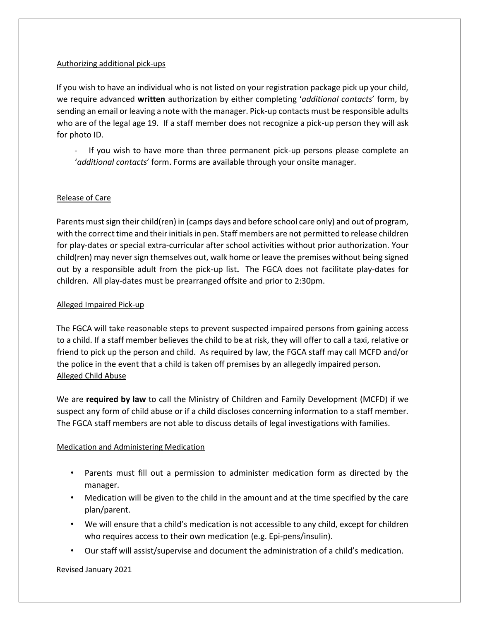#### Authorizing additional pick-ups

If you wish to have an individual who is not listed on your registration package pick up your child, we require advanced **written** authorization by either completing '*additional contacts*' form, by sending an email or leaving a note with the manager. Pick-up contacts must be responsible adults who are of the legal age 19. If a staff member does not recognize a pick-up person they will ask for photo ID.

If you wish to have more than three permanent pick-up persons please complete an '*additional contacts*' form. Forms are available through your onsite manager.

#### Release of Care

Parents must sign their child(ren) in (camps days and before school care only) and out of program, with the correct time and their initials in pen. Staff members are not permitted to release children for play-dates or special extra-curricular after school activities without prior authorization. Your child(ren) may never sign themselves out, walk home or leave the premises without being signed out by a responsible adult from the pick-up list**.** The FGCA does not facilitate play-dates for children. All play-dates must be prearranged offsite and prior to 2:30pm.

#### Alleged Impaired Pick-up

The FGCA will take reasonable steps to prevent suspected impaired persons from gaining access to a child. If a staff member believes the child to be at risk, they will offer to call a taxi, relative or friend to pick up the person and child. As required by law, the FGCA staff may call MCFD and/or the police in the event that a child is taken off premises by an allegedly impaired person. Alleged Child Abuse

We are **required by law** to call the Ministry of Children and Family Development (MCFD) if we suspect any form of child abuse or if a child discloses concerning information to a staff member. The FGCA staff members are not able to discuss details of legal investigations with families.

#### Medication and Administering Medication

- Parents must fill out a permission to administer medication form as directed by the manager.
- Medication will be given to the child in the amount and at the time specified by the care plan/parent.
- We will ensure that a child's medication is not accessible to any child, except for children who requires access to their own medication (e.g. Epi-pens/insulin).
- Our staff will assist/supervise and document the administration of a child's medication.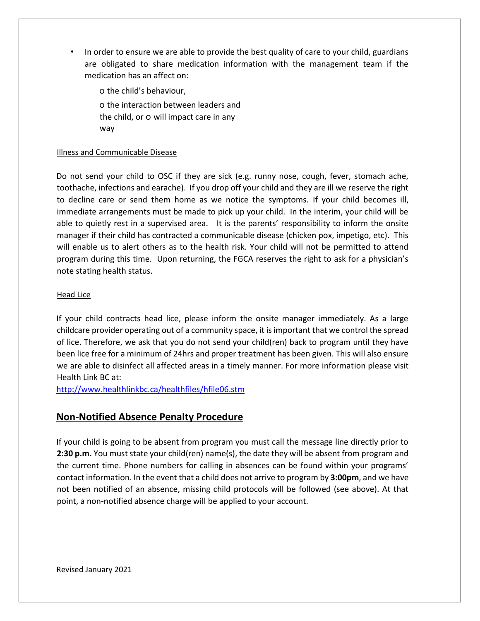• In order to ensure we are able to provide the best quality of care to your child, guardians are obligated to share medication information with the management team if the medication has an affect on:

o the child's behaviour, o the interaction between leaders and the child, or o will impact care in any way

#### Illness and Communicable Disease

Do not send your child to OSC if they are sick (e.g. runny nose, cough, fever, stomach ache, toothache, infections and earache). If you drop off your child and they are ill we reserve the right to decline care or send them home as we notice the symptoms. If your child becomes ill, immediate arrangements must be made to pick up your child. In the interim, your child will be able to quietly rest in a supervised area. It is the parents' responsibility to inform the onsite manager if their child has contracted a communicable disease (chicken pox, impetigo, etc). This will enable us to alert others as to the health risk. Your child will not be permitted to attend program during this time. Upon returning, the FGCA reserves the right to ask for a physician's note stating health status.

#### Head Lice

If your child contracts head lice, please inform the onsite manager immediately. As a large childcare provider operating out of a community space, it is important that we control the spread of lice. Therefore, we ask that you do not send your child(ren) back to program until they have been lice free for a minimum of 24hrs and proper treatment has been given. This will also ensure we are able to disinfect all affected areas in a timely manner. For more information please visit Health Link BC at:

<http://www.healthlinkbc.ca/healthfiles/hfile06.stm>

## **Non-Notified Absence Penalty Procedure**

If your child is going to be absent from program you must call the message line directly prior to **2:30 p.m.** You must state your child(ren) name(s), the date they will be absent from program and the current time. Phone numbers for calling in absences can be found within your programs' contact information. In the event that a child does not arrive to program by **3:00pm**, and we have not been notified of an absence, missing child protocols will be followed (see above). At that point, a non-notified absence charge will be applied to your account.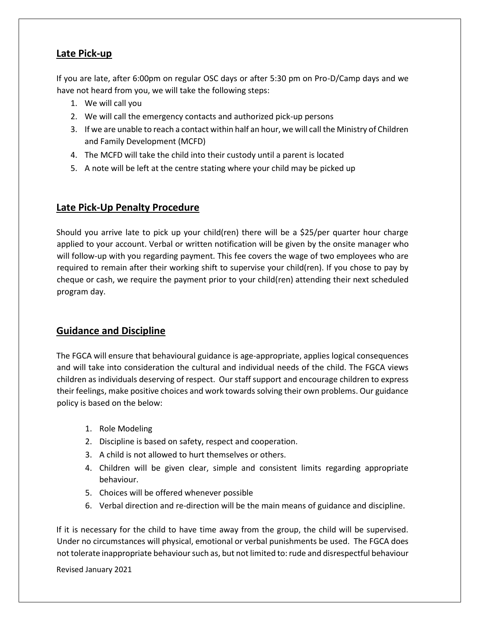# **Late Pick-up**

If you are late, after 6:00pm on regular OSC days or after 5:30 pm on Pro-D/Camp days and we have not heard from you, we will take the following steps:

- 1. We will call you
- 2. We will call the emergency contacts and authorized pick-up persons
- 3. If we are unable to reach a contact within half an hour, we will call the Ministry of Children and Family Development (MCFD)
- 4. The MCFD will take the child into their custody until a parent is located
- 5. A note will be left at the centre stating where your child may be picked up

# **Late Pick-Up Penalty Procedure**

Should you arrive late to pick up your child(ren) there will be a \$25/per quarter hour charge applied to your account. Verbal or written notification will be given by the onsite manager who will follow-up with you regarding payment. This fee covers the wage of two employees who are required to remain after their working shift to supervise your child(ren). If you chose to pay by cheque or cash, we require the payment prior to your child(ren) attending their next scheduled program day.

# **Guidance and Discipline**

The FGCA will ensure that behavioural guidance is age-appropriate, applies logical consequences and will take into consideration the cultural and individual needs of the child. The FGCA views children as individuals deserving of respect. Our staff support and encourage children to express their feelings, make positive choices and work towards solving their own problems. Our guidance policy is based on the below:

- 1. Role Modeling
- 2. Discipline is based on safety, respect and cooperation.
- 3. A child is not allowed to hurt themselves or others.
- 4. Children will be given clear, simple and consistent limits regarding appropriate behaviour.
- 5. Choices will be offered whenever possible
- 6. Verbal direction and re-direction will be the main means of guidance and discipline.

If it is necessary for the child to have time away from the group, the child will be supervised. Under no circumstances will physical, emotional or verbal punishments be used. The FGCA does not tolerate inappropriate behaviour such as, but not limited to: rude and disrespectful behaviour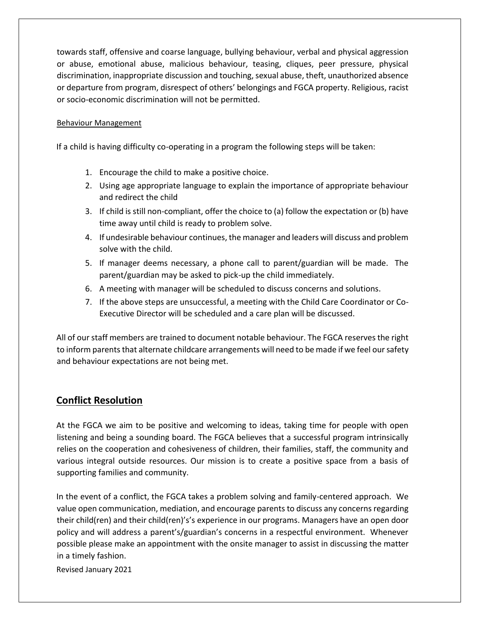towards staff, offensive and coarse language, bullying behaviour, verbal and physical aggression or abuse, emotional abuse, malicious behaviour, teasing, cliques, peer pressure, physical discrimination, inappropriate discussion and touching, sexual abuse, theft, unauthorized absence or departure from program, disrespect of others' belongings and FGCA property. Religious, racist or socio-economic discrimination will not be permitted.

### Behaviour Management

If a child is having difficulty co-operating in a program the following steps will be taken:

- 1. Encourage the child to make a positive choice.
- 2. Using age appropriate language to explain the importance of appropriate behaviour and redirect the child
- 3. If child is still non-compliant, offer the choice to (a) follow the expectation or (b) have time away until child is ready to problem solve.
- 4. If undesirable behaviour continues, the manager and leaders will discuss and problem solve with the child.
- 5. If manager deems necessary, a phone call to parent/guardian will be made. The parent/guardian may be asked to pick-up the child immediately.
- 6. A meeting with manager will be scheduled to discuss concerns and solutions.
- 7. If the above steps are unsuccessful, a meeting with the Child Care Coordinator or Co-Executive Director will be scheduled and a care plan will be discussed.

All of our staff members are trained to document notable behaviour. The FGCA reserves the right to inform parents that alternate childcare arrangements will need to be made if we feel our safety and behaviour expectations are not being met.

# **Conflict Resolution**

At the FGCA we aim to be positive and welcoming to ideas, taking time for people with open listening and being a sounding board. The FGCA believes that a successful program intrinsically relies on the cooperation and cohesiveness of children, their families, staff, the community and various integral outside resources. Our mission is to create a positive space from a basis of supporting families and community.

In the event of a conflict, the FGCA takes a problem solving and family-centered approach. We value open communication, mediation, and encourage parents to discuss any concerns regarding their child(ren) and their child(ren)'s's experience in our programs. Managers have an open door policy and will address a parent's/guardian's concerns in a respectful environment. Whenever possible please make an appointment with the onsite manager to assist in discussing the matter in a timely fashion.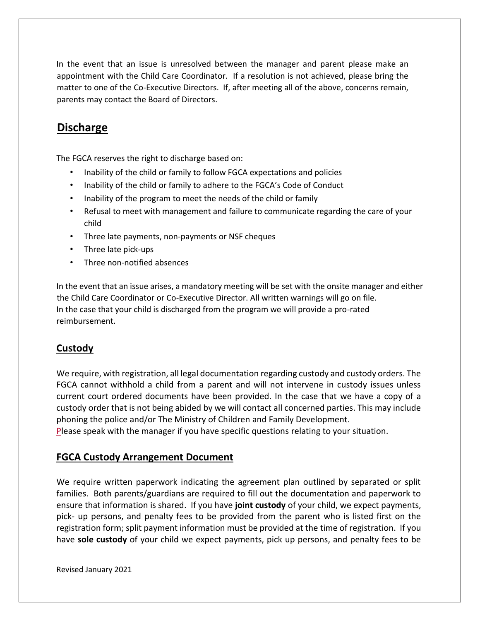In the event that an issue is unresolved between the manager and parent please make an appointment with the Child Care Coordinator. If a resolution is not achieved, please bring the matter to one of the Co-Executive Directors. If, after meeting all of the above, concerns remain, parents may contact the Board of Directors.

# **Discharge**

The FGCA reserves the right to discharge based on:

- Inability of the child or family to follow FGCA expectations and policies
- Inability of the child or family to adhere to the FGCA's Code of Conduct
- Inability of the program to meet the needs of the child or family
- Refusal to meet with management and failure to communicate regarding the care of your child
- Three late payments, non-payments or NSF cheques
- Three late pick-ups
- Three non-notified absences

In the event that an issue arises, a mandatory meeting will be set with the onsite manager and either the Child Care Coordinator or Co-Executive Director. All written warnings will go on file. In the case that your child is discharged from the program we will provide a pro-rated reimbursement.

# **Custody**

We require, with registration, all legal documentation regarding custody and custody orders. The FGCA cannot withhold a child from a parent and will not intervene in custody issues unless current court ordered documents have been provided. In the case that we have a copy of a custody order that is not being abided by we will contact all concerned parties. This may include phoning the police and/or The Ministry of Children and Family Development.

Please speak with the manager if you have specific questions relating to your situation.

# **FGCA Custody Arrangement Document**

We require written paperwork indicating the agreement plan outlined by separated or split families. Both parents/guardians are required to fill out the documentation and paperwork to ensure that information is shared. If you have **joint custody** of your child, we expect payments, pick- up persons, and penalty fees to be provided from the parent who is listed first on the registration form; split payment information must be provided at the time of registration. If you have **sole custody** of your child we expect payments, pick up persons, and penalty fees to be